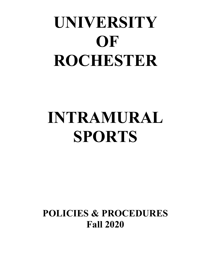# **UNIVERSITY OF ROCHESTER**

## **INTRAMURAL SPORTS**

**POLICIES & PROCEDURES Fall 2020**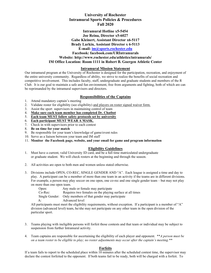## **University of Rochester Intramural Sports Policies & Procedures Fall 2020**

## **Intramural Hotline x5-5454 Joe Reina, Director x5-6027 Gabe Kleinert, Assistant Director x6-5117 Brady Larkin, Assistant Director x 6-5113 E-mail: [im@sports.rochester.edu](mailto:im@sports.rochester.edu) Facebook: facebook.com/URIntramurals Website: http://www.rochester.edu/athletics/intramurals/ IM Office Location: Room 1111 in Robert B. Goergen Athletic Center**

## **Intramural Mission Statement**

Our intramural program at the University of Rochester is designed for the participation, recreation, and enjoyment of the entire university community. Regardless of ability, we strive to realize the benefits of social recreation and competitive involvement. This includes faculty, staff, undergraduate and graduate students and members of the R Club. It is our goal to maintain a safe and fun environment, free from arguments and fighting, both of which are can be reprimanded by the intramural supervisors and directors.

## **Responsibilities of the Captains**

- 1. Attend mandatory captain's meeting
- 2. Validate roster for eligibility (see eligibility) and players on roster signed waiver form.
- 3. Assist the sport supervisors in maintaining control of team
- 4. **Make sure each team member has completed Dr. Chatbot**
- 5. **Each team MUST follow safety protocols set by university**
- 6. **Each participant MUST WEAR A MASK.**
- 7. Check in with supervisors prior to each contest
- 8. **Be on time for your match**
- 9. Be responsible for your team's knowledge of game/event rules
- 10. Serve as a liaison between your team and IM staff
- 11. **Monitor the Facebook page, website, and your email for game and program information**

## **Eligibility Guidelines**

- 1. Must have a current, valid University ID card, and be a full time matriculated undergraduate or graduate student. We will check rosters at the beginning and through the season.
- 2. All activities are open to both men and women unless stated otherwise.
- 3. Divisions include OPEN, CO-REC, SINGLE GENDER AND "A". Each league is assigned a time and day to play. A participant can be a member of more than one team in an activity if the teams are in different divisions. For example, a person may play soccer on one open, one co-rec and one single gender team – but may not play on more than one open team.

| Open:      | Any male or female may participate                         |
|------------|------------------------------------------------------------|
| $Co$ -Rec: | Requires two females on the playing surface at all times   |
|            | Single Gender: Only members of that gender may participate |
| $A$ :      | Advanced level                                             |
|            |                                                            |

All participants must meet the eligibility requirements, without exception. If a participant is a member of "A" division (advanced level) team, he/she may not participate on any other team in the open division of the particular sport.

- 3. Teams playing with ineligible persons will forfeit those contests and that team or individual may be subject to suspension from further Intramural activity.
- 4. Team captains are responsible for ascertaining the eligibility of each player and opponent. \*\**A person must be on a team roster to be eligible to play; no roster adjustments may occur after the captain's meeting.\*\**

## **Forfeits**

If a team fails to report to the scheduled place within  $\overline{10}$  minutes after the scheduled contest time, the supervisor may declare the contest forfeited to the opponent. If both teams fail to be ready, both will be charged with a forfeit. To